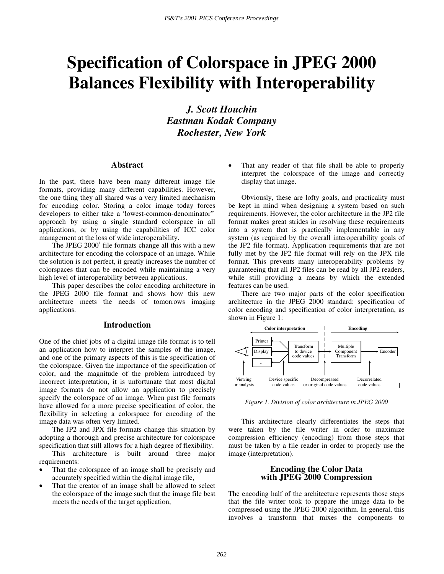# **Specification of Colorspace in JPEG 2000 Balances Flexibility with Interoperability**

*J. Scott Houchin Eastman Kodak Company Rochester, New York* 

# **Abstract**

In the past, there have been many different image file formats, providing many different capabilities. However, the one thing they all shared was a very limited mechanism for encoding color. Storing a color image today forces developers to either take a "lowest-common-denominator" approach by using a single standard colorspace in all applications, or by using the capabilities of ICC color management at the loss of wide interoperability.

The JPEG 2000<sup>1</sup> file formats change all this with a new architecture for encoding the colorspace of an image. While the solution is not perfect, it greatly increases the number of colorspaces that can be encoded while maintaining a very high level of interoperability between applications.

This paper describes the color encoding architecture in the JPEG 2000 file format and shows how this new architecture meets the needs of tomorrows imaging applications.

### **Introduction**

One of the chief jobs of a digital image file format is to tell an application how to interpret the samples of the image, and one of the primary aspects of this is the specification of the colorspace. Given the importance of the specification of color, and the magnitude of the problem introduced by incorrect interpretation, it is unfortunate that most digital image formats do not allow an application to precisely specify the colorspace of an image. When past file formats have allowed for a more precise specification of color, the flexibility in selecting a colorspace for encoding of the image data was often very limited.

The JP2 and JPX file formats change this situation by adopting a thorough and precise architecture for colorspace specification that still allows for a high degree of flexibility.

This architecture is built around three major requirements:

- That the colorspace of an image shall be precisely and accurately specified within the digital image file,
- That the creator of an image shall be allowed to select the colorspace of the image such that the image file best meets the needs of the target application,

That any reader of that file shall be able to properly interpret the colorspace of the image and correctly display that image.

Obviously, these are lofty goals, and practicality must be kept in mind when designing a system based on such requirements. However, the color architecture in the JP2 file format makes great strides in resolving these requirements into a system that is practically implementable in any system (as required by the overall interoperability goals of the JP2 file format). Application requirements that are not fully met by the JP2 file format will rely on the JPX file format. This prevents many interoperability problems by guaranteeing that all JP2 files can be read by all JP2 readers, while still providing a means by which the extended features can be used.

There are two major parts of the color specification architecture in the JPEG 2000 standard: specification of color encoding and specification of color interpretation, as shown in Figure 1:



*Figure 1. Division of color architecture in JPEG 2000* 

This architecture clearly differentiates the steps that were taken by the file writer in order to maximize compression efficiency (encoding) from those steps that must be taken by a file reader in order to properly use the image (interpretation).

## **Encoding the Color Data with JPEG 2000 Compression**

The encoding half of the architecture represents those steps that the file writer took to prepare the image data to be compressed using the JPEG 2000 algorithm. In general, this involves a transform that mixes the components to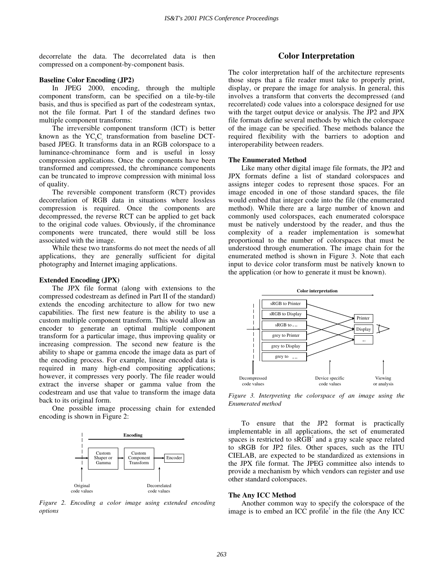decorrelate the data. The decorrelated data is then compressed on a component-by-component basis.

## **Baseline Color Encoding (JP2)**

In JPEG 2000, encoding, through the multiple component transform, can be specified on a tile-by-tile basis, and thus is specified as part of the codestream syntax, not the file format. Part I of the standard defines two multiple component transforms:

The irreversible component transform (ICT) is better known as the  $YC<sub>b</sub>C<sub>r</sub>$  transformation from baseline DCTbased JPEG. It transforms data in an RGB colorspace to a luminance-chrominance form and is useful in lossy compression applications. Once the components have been transformed and compressed, the chrominance components can be truncated to improve compression with minimal loss of quality.

The reversible component transform (RCT) provides decorrelation of RGB data in situations where lossless compression is required. Once the components are decompressed, the reverse RCT can be applied to get back to the original code values. Obviously, if the chrominance components were truncated, there would still be loss associated with the image.

While these two transforms do not meet the needs of all applications, they are generally sufficient for digital photography and Internet imaging applications.

#### **Extended Encoding (JPX)**

The JPX file format (along with extensions to the compressed codestream as defined in Part II of the standard) extends the encoding architecture to allow for two new capabilities. The first new feature is the ability to use a custom multiple component transform. This would allow an encoder to generate an optimal multiple component transform for a particular image, thus improving quality or increasing compression. The second new feature is the ability to shape or gamma encode the image data as part of the encoding process. For example, linear encoded data is required in many high-end compositing applications; however, it compresses very poorly. The file reader would extract the inverse shaper or gamma value from the codestream and use that value to transform the image data back to its original form.

One possible image processing chain for extended encoding is shown in Figure 2:



*Figure 2. Encoding a color image using extended encoding options* 

# **Color Interpretation**

The color interpretation half of the architecture represents those steps that a file reader must take to properly print, display, or prepare the image for analysis. In general, this involves a transform that converts the decompressed (and recorrelated) code values into a colorspace designed for use with the target output device or analysis. The JP2 and JPX file formats define several methods by which the colorspace of the image can be specified. These methods balance the required flexibility with the barriers to adoption and interoperability between readers.

#### **The Enumerated Method**

Like many other digital image file formats, the JP2 and JPX formats define a list of standard colorspaces and assigns integer codes to represent those spaces. For an image encoded in one of those standard spaces, the file would embed that integer code into the file (the enumerated method). While there are a large number of known and commonly used colorspaces, each enumerated colorspace must be natively understood by the reader, and thus the complexity of a reader implementation is somewhat proportional to the number of colorspaces that must be understood through enumeration. The image chain for the enumerated method is shown in Figure 3. Note that each input to device color transform must be natively known to the application (or how to generate it must be known).



*Figure 3. Interpreting the colorspace of an image using the Enumerated method* 

To ensure that the JP2 format is practically implementable in all applications, the set of enumerated spaces is restricted to  $s\overline{R}GB^2$  and a gray scale space related to sRGB for JP2 files. Other spaces, such as the ITU CIELAB, are expected to be standardized as extensions in the JPX file format. The JPEG committee also intends to provide a mechanism by which vendors can register and use other standard colorspaces.

#### **The Any ICC Method**

Another common way to specify the colorspace of the image is to embed an ICC profile<sup>3</sup> in the file (the Any ICC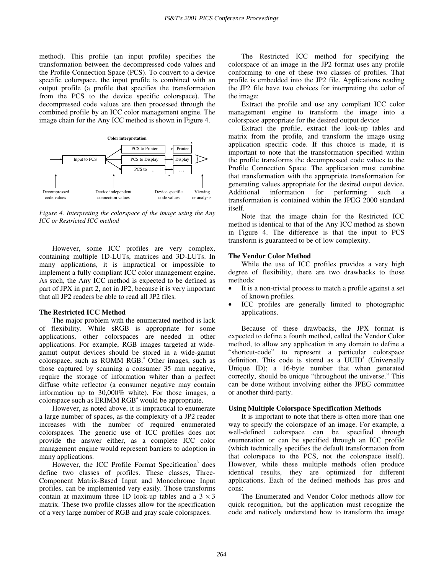method). This profile (an input profile) specifies the transformation between the decompressed code values and the Profile Connection Space (PCS). To convert to a device specific colorspace, the input profile is combined with an output profile (a profile that specifies the transformation from the PCS to the device specific colorspace). The decompressed code values are then processed through the combined profile by an ICC color management engine. The image chain for the Any ICC method is shown in Figure 4.



*Figure 4. Interpreting the colorspace of the image using the Any ICC or Restricted ICC method* 

However, some ICC profiles are very complex, containing multiple 1D-LUTs, matrices and 3D-LUTs. In many applications, it is impractical or impossible to implement a fully compliant ICC color management engine. As such, the Any ICC method is expected to be defined as part of JPX in part 2, not in JP2, because it is very important that all JP2 readers be able to read all JP2 files.

#### **The Restricted ICC Method**

The major problem with the enumerated method is lack of flexibility. While sRGB is appropriate for some applications, other colorspaces are needed in other applications. For example, RGB images targeted at widegamut output devices should be stored in a wide-gamut colorspace, such as ROMM RGB.<sup>4</sup> Other images, such as those captured by scanning a consumer 35 mm negative, require the storage of information whiter than a perfect diffuse white reflector (a consumer negative may contain information up to 30,000% white). For those images, a colorspace such as  $ERIMM RGB<sup>4</sup>$  would be appropriate.

However, as noted above, it is impractical to enumerate a large number of spaces, as the complexity of a JP2 reader increases with the number of required enumerated colorspaces. The generic use of ICC profiles does not provide the answer either, as a complete ICC color management engine would represent barriers to adoption in many applications.

However, the ICC Profile Format Specification<sup>3</sup> does define two classes of profiles. These classes, Three-Component Matrix-Based Input and Monochrome Input profiles, can be implemented very easily. Those transforms contain at maximum three 1D look-up tables and a  $3 \times 3$ matrix. These two profile classes allow for the specification of a very large number of RGB and gray scale colorspaces.

The Restricted ICC method for specifying the colorspace of an image in the JP2 format uses any profile conforming to one of these two classes of profiles. That profile is embedded into the JP2 file. Applications reading the JP2 file have two choices for interpreting the color of the image:

Extract the profile and use any compliant ICC color management engine to transform the image into a colorspace appropriate for the desired output device

Extract the profile, extract the look-up tables and matrix from the profile, and transform the image using application specific code. If this choice is made, it is important to note that the transformation specified within the profile transforms the decompressed code values to the Profile Connection Space. The application must combine that transformation with the appropriate transformation for generating values appropriate for the desired output device. Additional information for performing such a transformation is contained within the JPEG 2000 standard itself.

Note that the image chain for the Restricted ICC method is identical to that of the Any ICC method as shown in Figure 4. The difference is that the input to PCS transform is guaranteed to be of low complexity.

#### **The Vendor Color Method**

While the use of ICC profiles provides a very high degree of flexibility, there are two drawbacks to those methods:

- It is a non-trivial process to match a profile against a set of known profiles.
- ICC profiles are generally limited to photographic applications.

Because of these drawbacks, the JPX format is expected to define a fourth method, called the Vendor Color method, to allow any application in any domain to define a "shortcut-code" to represent a particular colorspace definition. This code is stored as a  $UUID<sup>5</sup>$  (Universally Unique ID); a 16-byte number that when generated correctly, should be unique "throughout the universe." This can be done without involving either the JPEG committee or another third-party.

#### **Using Multiple Colorspace Specification Methods**

It is important to note that there is often more than one way to specify the colorspace of an image. For example, a well-defined colorspace can be specified through enumeration or can be specified through an ICC profile (which technically specifies the default transformation from that colorspace to the PCS, not the colorspace itself). However, while these multiple methods often produce identical results, they are optimized for different applications. Each of the defined methods has pros and cons:

The Enumerated and Vendor Color methods allow for quick recognition, but the application must recognize the code and natively understand how to transform the image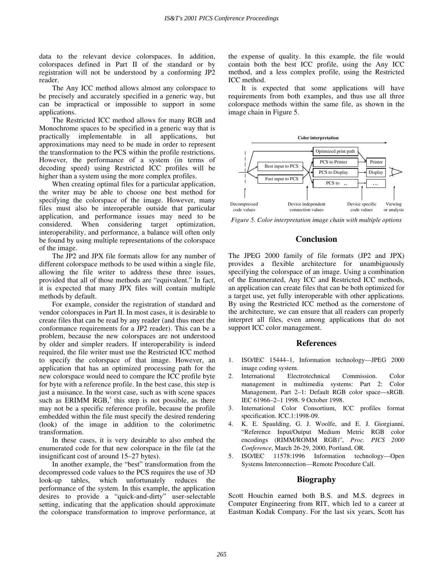data to the relevant device colorspaces. In addition, colorspaces defined in Part II of the standard or by registration will not be understood by a conforming JP2 reader.

The Any ICC method allows almost any colorspace to be precisely and accurately specified in a generic way, but can be impractical or impossible to support in some applications.

The Restricted ICC method allows for many RGB and Monochrome spaces to be specified in a generic way that is practically implementable in all applications, but approximations may need to be made in order to represent the transformation to the PCS within the profile restrictions. However, the performance of a system (in terms of decoding speed) using Restricted ICC profiles will be higher than a system using the more complex profiles.

When creating optimal files for a particular application, the writer may be able to choose one best method for specifying the colorspace of the image. However, many files must also be interoperable outside that particular application, and performance issues may need to be considered. When considering target optimization, interoperability, and performance, a balance will often only be found by using multiple representations of the colorspace of the image.

The JP2 and JPX file formats allow for any number of different colorspace methods to be used within a single file, allowing the file writer to address these three issues, provided that all of those methods are " equivalent." In fact, it is expected that many JPX files will contain multiple methods by default.

For example, consider the registration of standard and vendor colorspaces in Part II. In most cases, it is desirable to create files that can be read by any reader (and thus meet the conformance requirements for a JP2 reader). This can be a problem, because the new colorspaces are not understood by older and simpler readers. If interoperability is indeed required, the file writer must use the Restricted ICC method to specify the colorspace of that image. However, an application that has an optimized processing path for the new colorspace would need to compare the ICC profile byte for byte with a reference profile. In the best case, this step is just a nuisance. In the worst case, such as with scene spaces such as ERIMM  $RGB$ , this step is not possible, as there may not be a specific reference profile, because the profile embedded within the file must specify the desired rendering (look) of the image in addition to the colorimetric transformation.

In these cases, it is very desirable to also embed the enumerated code for that new colorspace in the file (at the insignificant cost of around 15–27 bytes).

In another example, the "best" transformation from the decompressed code values to the PCS requires the use of 3D look-up tables, which unfortunately reduces the performance of the system. In this example, the application desires to provide a "quick-and-dirty" user-selectable setting, indicating that the application should approximate the colorspace transformation to improve performance, at

the expense of quality. In this example, the file would contain both the best ICC profile, using the Any ICC method, and a less complex profile, using the Restricted ICC method.

It is expected that some applications will have requirements from both examples, and thus use all three colorspace methods within the same file, as shown in the image chain in Figure 5.



*Figure 5. Color interpretation image chain with multiple options* 

## **Conclusion**

The JPEG 2000 family of file formats (JP2 and JPX) provides a flexible architecture for unambiguously specifying the colorspace of an image. Using a combination of the Enumerated, Any ICC and Restricted ICC methods, an application can create files that can be both optimized for a target use, yet fully interoperable with other applications. By using the Restricted ICC method as the cornerstone of the architecture, we can ensure that all readers can properly interpret all files, even among applications that do not support ICC color management.

## **References**

- 1. ISO/IEC 15444-1, Information technology—JPEG 2000 image coding system.
- 2. International Electrotechnical Commission. Color management in multimedia systems: Part 2: Color Management, Part 2-1: Default RGB color space—sRGB. IEC 61966-2-1 1998. 9 October 1998.
- 3. International Color Consortium, ICC profiles format specification. ICC.1:1998-09.
- 4. K. E. Spaulding, G. J. Woolfe, and E. J. Giorgianni, " Reference Input/Output Medium Metric RGB color encodings (RIMM/ROMM RGB)", Proc. PICS 2000 *Conference*, March 26-29, 2000, Portland, OR.
- 5. ISO/IEC 11578:1996 Information technology— Open Systems Interconnection— Remote Procedure Call.

#### **Biography**

Scott Houchin earned both B.S. and M.S. degrees in Computer Engineering from RIT, which led to a career at Eastman Kodak Company. For the last six years, Scott has